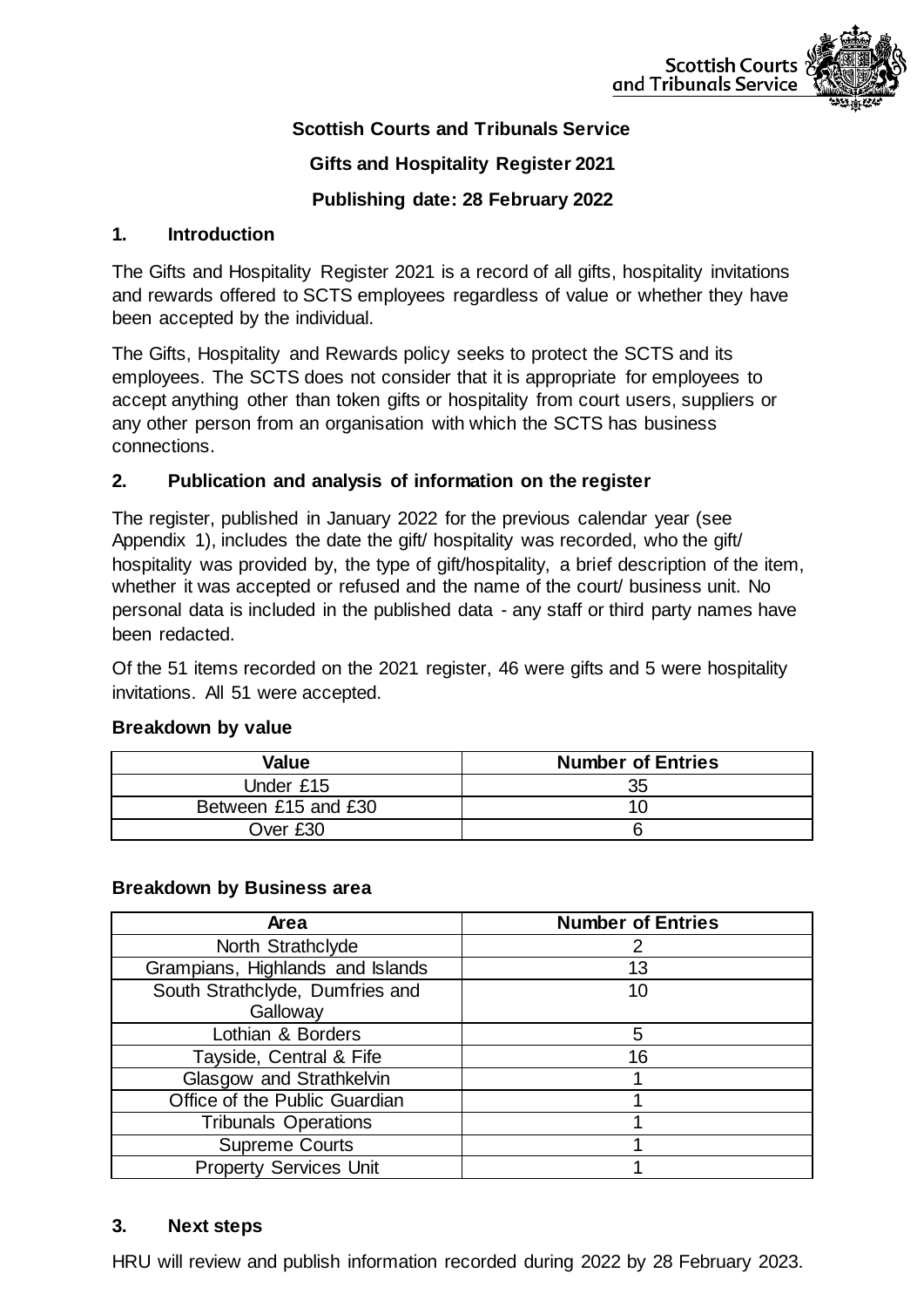

## **Scottish Courts and Tribunals Service**

### **Gifts and Hospitality Register 2021**

### **Publishing date: 28 February 2022**

### **1. Introduction**

The Gifts and Hospitality Register 2021 is a record of all gifts, hospitality invitations and rewards offered to SCTS employees regardless of value or whether they have been accepted by the individual.

The Gifts, Hospitality and Rewards policy seeks to protect the SCTS and its employees. The SCTS does not consider that it is appropriate for employees to accept anything other than token gifts or hospitality from court users, suppliers or any other person from an organisation with which the SCTS has business connections.

### **2. Publication and analysis of information on the register**

The register, published in January 2022 for the previous calendar year (see Appendix 1), includes the date the gift/ hospitality was recorded, who the gift/ hospitality was provided by, the type of gift/hospitality, a brief description of the item, whether it was accepted or refused and the name of the court/ business unit. No personal data is included in the published data - any staff or third party names have been redacted.

Of the 51 items recorded on the 2021 register, 46 were gifts and 5 were hospitality invitations. All 51 were accepted.

| Value               | <b>Number of Entries</b> |
|---------------------|--------------------------|
| Under £15           | 35                       |
| Between £15 and £30 |                          |
| Over £30            |                          |

#### **Breakdown by value**

#### **Breakdown by Business area**

| Area                             | <b>Number of Entries</b> |
|----------------------------------|--------------------------|
| North Strathclyde                |                          |
| Grampians, Highlands and Islands | 13                       |
| South Strathclyde, Dumfries and  | 10                       |
| Galloway                         |                          |
| Lothian & Borders                | 5                        |
| Tayside, Central & Fife          | 16                       |
| Glasgow and Strathkelvin         |                          |
| Office of the Public Guardian    |                          |
| <b>Tribunals Operations</b>      |                          |
| <b>Supreme Courts</b>            |                          |
| <b>Property Services Unit</b>    |                          |

#### **3. Next steps**

HRU will review and publish information recorded during 2022 by 28 February 2023.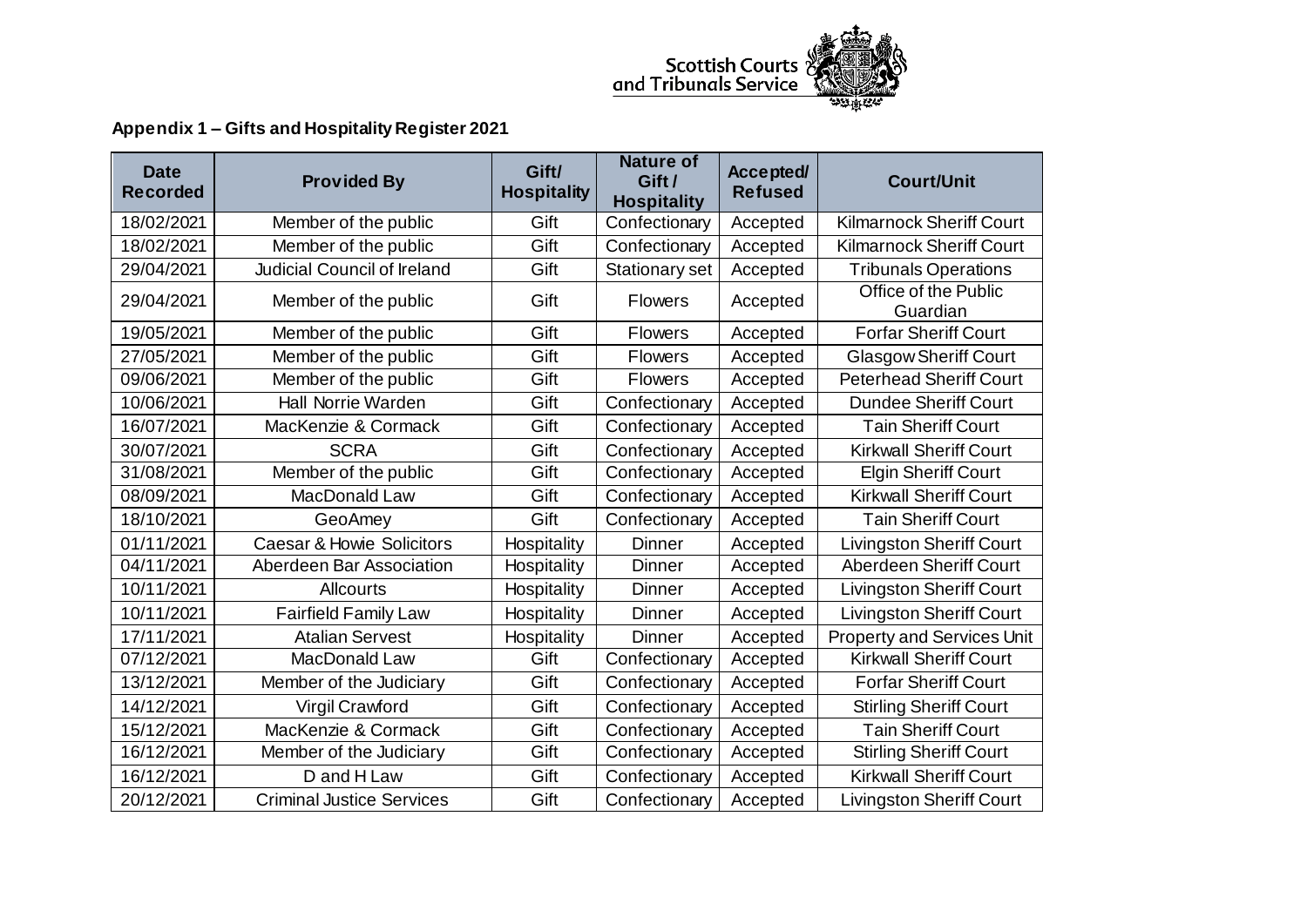

# **Appendix 1 – Gifts and Hospitality Register 2021**

| <b>Date</b><br><b>Recorded</b> | <b>Provided By</b>                   | Gift/<br><b>Hospitality</b> | <b>Nature of</b><br>Gift /<br><b>Hospitality</b> | Accepted/<br><b>Refused</b> | <b>Court/Unit</b>                 |
|--------------------------------|--------------------------------------|-----------------------------|--------------------------------------------------|-----------------------------|-----------------------------------|
| 18/02/2021                     | Member of the public                 | Gift                        | Confectionary                                    | Accepted                    | <b>Kilmarnock Sheriff Court</b>   |
| 18/02/2021                     | Member of the public                 | Gift                        | Confectionary                                    | Accepted                    | <b>Kilmarnock Sheriff Court</b>   |
| 29/04/2021                     | Judicial Council of Ireland          | Gift                        | Stationary set                                   | Accepted                    | <b>Tribunals Operations</b>       |
| 29/04/2021                     | Member of the public                 | Gift                        | <b>Flowers</b>                                   | Accepted                    | Office of the Public<br>Guardian  |
| 19/05/2021                     | Member of the public                 | Gift                        | <b>Flowers</b>                                   | Accepted                    | <b>Forfar Sheriff Court</b>       |
| 27/05/2021                     | Member of the public                 | Gift                        | <b>Flowers</b>                                   | Accepted                    | <b>Glasgow Sheriff Court</b>      |
| 09/06/2021                     | Member of the public                 | Gift                        | <b>Flowers</b>                                   | Accepted                    | <b>Peterhead Sheriff Court</b>    |
| 10/06/2021                     | <b>Hall Norrie Warden</b>            | Gift                        | Confectionary                                    | Accepted                    | <b>Dundee Sheriff Court</b>       |
| 16/07/2021                     | MacKenzie & Cormack                  | Gift                        | Confectionary                                    | Accepted                    | <b>Tain Sheriff Court</b>         |
| 30/07/2021                     | <b>SCRA</b>                          | Gift                        | Confectionary                                    | Accepted                    | <b>Kirkwall Sheriff Court</b>     |
| 31/08/2021                     | Member of the public                 | Gift                        | Confectionary                                    | Accepted                    | <b>Elgin Sheriff Court</b>        |
| 08/09/2021                     | MacDonald Law                        | Gift                        | Confectionary                                    | Accepted                    | <b>Kirkwall Sheriff Court</b>     |
| 18/10/2021                     | GeoAmey                              | Gift                        | Confectionary                                    | Accepted                    | <b>Tain Sheriff Court</b>         |
| 01/11/2021                     | <b>Caesar &amp; Howie Solicitors</b> | Hospitality                 | <b>Dinner</b>                                    | Accepted                    | <b>Livingston Sheriff Court</b>   |
| 04/11/2021                     | Aberdeen Bar Association             | Hospitality                 | <b>Dinner</b>                                    | Accepted                    | <b>Aberdeen Sheriff Court</b>     |
| 10/11/2021                     | <b>Allcourts</b>                     | Hospitality                 | Dinner                                           | Accepted                    | <b>Livingston Sheriff Court</b>   |
| 10/11/2021                     | <b>Fairfield Family Law</b>          | Hospitality                 | <b>Dinner</b>                                    | Accepted                    | <b>Livingston Sheriff Court</b>   |
| 17/11/2021                     | <b>Atalian Servest</b>               | Hospitality                 | <b>Dinner</b>                                    | Accepted                    | <b>Property and Services Unit</b> |
| 07/12/2021                     | MacDonald Law                        | Gift                        | Confectionary                                    | Accepted                    | <b>Kirkwall Sheriff Court</b>     |
| 13/12/2021                     | Member of the Judiciary              | Gift                        | Confectionary                                    | Accepted                    | <b>Forfar Sheriff Court</b>       |
| 14/12/2021                     | Virgil Crawford                      | Gift                        | Confectionary                                    | Accepted                    | <b>Stirling Sheriff Court</b>     |
| 15/12/2021                     | MacKenzie & Cormack                  | Gift                        | Confectionary                                    | Accepted                    | <b>Tain Sheriff Court</b>         |
| 16/12/2021                     | Member of the Judiciary              | Gift                        | Confectionary                                    | Accepted                    | <b>Stirling Sheriff Court</b>     |
| 16/12/2021                     | D and H Law                          | Gift                        | Confectionary                                    | Accepted                    | <b>Kirkwall Sheriff Court</b>     |
| 20/12/2021                     | <b>Criminal Justice Services</b>     | Gift                        | Confectionary                                    | Accepted                    | Livingston Sheriff Court          |